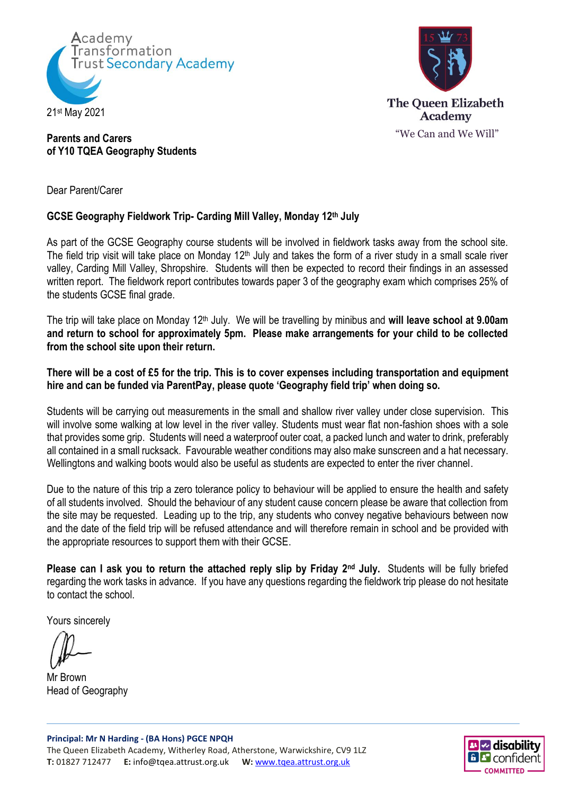



## **Parents and Carers of Y10 TQEA Geography Students**

Dear Parent/Carer

## **GCSE Geography Fieldwork Trip- Carding Mill Valley, Monday 12th July**

As part of the GCSE Geography course students will be involved in fieldwork tasks away from the school site. The field trip visit will take place on Monday 12<sup>th</sup> July and takes the form of a river study in a small scale river valley, Carding Mill Valley, Shropshire. Students will then be expected to record their findings in an assessed written report. The fieldwork report contributes towards paper 3 of the geography exam which comprises 25% of the students GCSE final grade.

The trip will take place on Monday 12<sup>th</sup> July. We will be travelling by minibus and will leave school at 9.00am **and return to school for approximately 5pm. Please make arrangements for your child to be collected from the school site upon their return.** 

## **There will be a cost of £5 for the trip. This is to cover expenses including transportation and equipment hire and can be funded via ParentPay, please quote 'Geography field trip' when doing so.**

Students will be carrying out measurements in the small and shallow river valley under close supervision. This will involve some walking at low level in the river valley. Students must wear flat non-fashion shoes with a sole that provides some grip. Students will need a waterproof outer coat, a packed lunch and water to drink, preferably all contained in a small rucksack. Favourable weather conditions may also make sunscreen and a hat necessary. Wellingtons and walking boots would also be useful as students are expected to enter the river channel.

Due to the nature of this trip a zero tolerance policy to behaviour will be applied to ensure the health and safety of all students involved. Should the behaviour of any student cause concern please be aware that collection from the site may be requested. Leading up to the trip, any students who convey negative behaviours between now and the date of the field trip will be refused attendance and will therefore remain in school and be provided with the appropriate resources to support them with their GCSE.

**Please can I ask you to return the attached reply slip by Friday 2nd July.** Students will be fully briefed regarding the work tasks in advance. If you have any questions regarding the fieldwork trip please do not hesitate to contact the school.

Yours sincerely

Mr Brown Head of Geography